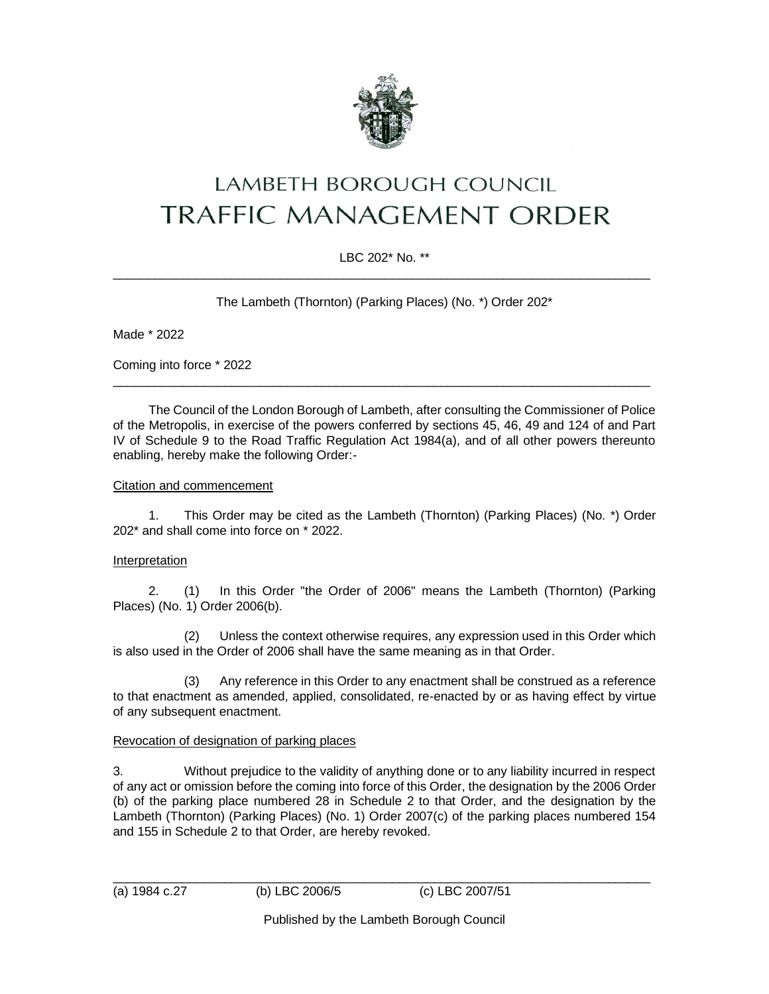

# **LAMBETH BOROUGH COUNCIL TRAFFIC MANAGEMENT ORDER**

# LBC 202\* No. \*\*  $\_$  ,  $\_$  ,  $\_$  ,  $\_$  ,  $\_$  ,  $\_$  ,  $\_$  ,  $\_$  ,  $\_$  ,  $\_$  ,  $\_$  ,  $\_$  ,  $\_$  ,  $\_$  ,  $\_$  ,  $\_$  ,  $\_$  ,  $\_$  ,  $\_$  ,  $\_$  ,  $\_$  ,  $\_$  ,  $\_$  ,  $\_$  ,  $\_$  ,  $\_$  ,  $\_$  ,  $\_$  ,  $\_$  ,  $\_$  ,  $\_$  ,  $\_$  ,  $\_$  ,  $\_$  ,  $\_$  ,  $\_$  ,  $\_$  ,

The Lambeth (Thornton) (Parking Places) (No. \*) Order 202\*

Made \* 2022

Coming into force \* 2022

The Council of the London Borough of Lambeth, after consulting the Commissioner of Police of the Metropolis, in exercise of the powers conferred by sections 45, 46, 49 and 124 of and Part IV of Schedule 9 to the Road Traffic Regulation Act 1984(a), and of all other powers thereunto enabling, hereby make the following Order:-

\_\_\_\_\_\_\_\_\_\_\_\_\_\_\_\_\_\_\_\_\_\_\_\_\_\_\_\_\_\_\_\_\_\_\_\_\_\_\_\_\_\_\_\_\_\_\_\_\_\_\_\_\_\_\_\_\_\_\_\_\_\_\_\_\_\_\_\_\_\_\_\_\_\_\_\_\_

## Citation and commencement

1. This Order may be cited as the Lambeth (Thornton) (Parking Places) (No. \*) Order 202\* and shall come into force on \* 2022.

#### Interpretation

2. (1) In this Order "the Order of 2006" means the Lambeth (Thornton) (Parking Places) (No. 1) Order 2006(b).

(2) Unless the context otherwise requires, any expression used in this Order which is also used in the Order of 2006 shall have the same meaning as in that Order.

(3) Any reference in this Order to any enactment shall be construed as a reference to that enactment as amended, applied, consolidated, re-enacted by or as having effect by virtue of any subsequent enactment.

## Revocation of designation of parking places

3. Without prejudice to the validity of anything done or to any liability incurred in respect of any act or omission before the coming into force of this Order, the designation by the 2006 Order (b) of the parking place numbered 28 in Schedule 2 to that Order, and the designation by the Lambeth (Thornton) (Parking Places) (No. 1) Order 2007(c) of the parking places numbered 154 and 155 in Schedule 2 to that Order, are hereby revoked.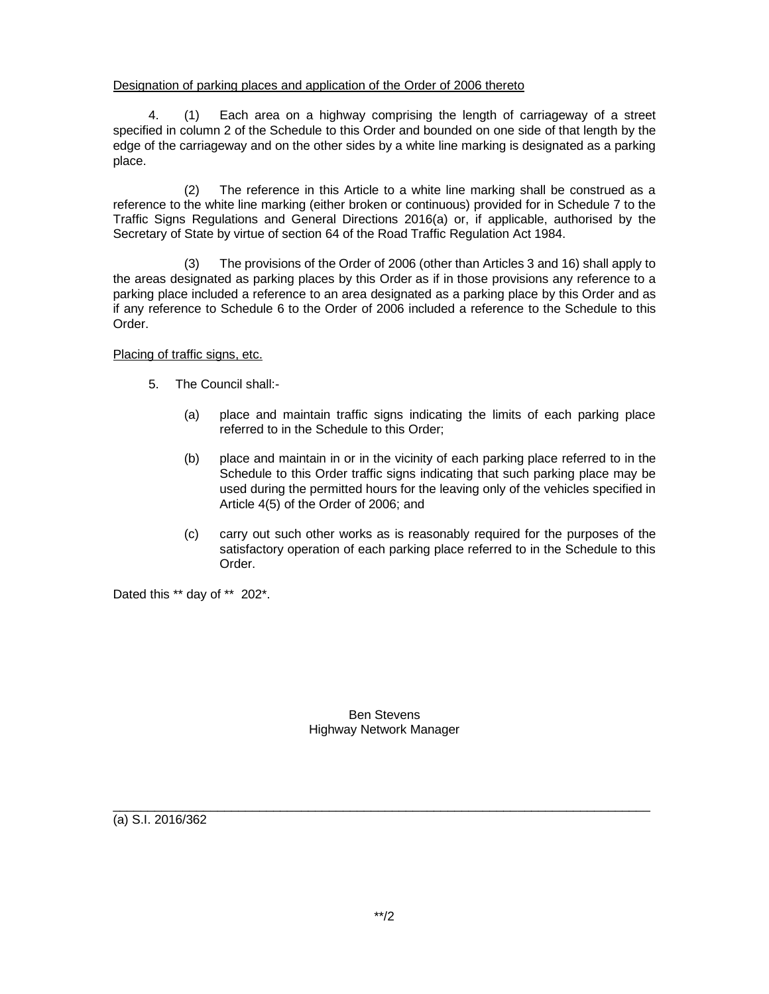## Designation of parking places and application of the Order of 2006 thereto

4. (1) Each area on a highway comprising the length of carriageway of a street specified in column 2 of the Schedule to this Order and bounded on one side of that length by the edge of the carriageway and on the other sides by a white line marking is designated as a parking place.

(2) The reference in this Article to a white line marking shall be construed as a reference to the white line marking (either broken or continuous) provided for in Schedule 7 to the Traffic Signs Regulations and General Directions 2016(a) or, if applicable, authorised by the Secretary of State by virtue of section 64 of the Road Traffic Regulation Act 1984.

(3) The provisions of the Order of 2006 (other than Articles 3 and 16) shall apply to the areas designated as parking places by this Order as if in those provisions any reference to a parking place included a reference to an area designated as a parking place by this Order and as if any reference to Schedule 6 to the Order of 2006 included a reference to the Schedule to this Order.

Placing of traffic signs, etc.

- 5. The Council shall:-
	- (a) place and maintain traffic signs indicating the limits of each parking place referred to in the Schedule to this Order;
	- (b) place and maintain in or in the vicinity of each parking place referred to in the Schedule to this Order traffic signs indicating that such parking place may be used during the permitted hours for the leaving only of the vehicles specified in Article 4(5) of the Order of 2006; and
	- (c) carry out such other works as is reasonably required for the purposes of the satisfactory operation of each parking place referred to in the Schedule to this Order.

Dated this \*\* day of \*\* 202\*.

Ben Stevens Highway Network Manager

 $\_$  ,  $\_$  ,  $\_$  ,  $\_$  ,  $\_$  ,  $\_$  ,  $\_$  ,  $\_$  ,  $\_$  ,  $\_$  ,  $\_$  ,  $\_$  ,  $\_$  ,  $\_$  ,  $\_$  ,  $\_$  ,  $\_$  ,  $\_$  ,  $\_$  ,  $\_$  ,  $\_$  ,  $\_$  ,  $\_$  ,  $\_$  ,  $\_$  ,  $\_$  ,  $\_$  ,  $\_$  ,  $\_$  ,  $\_$  ,  $\_$  ,  $\_$  ,  $\_$  ,  $\_$  ,  $\_$  ,  $\_$  ,  $\_$  ,

(a) S.I. 2016/362